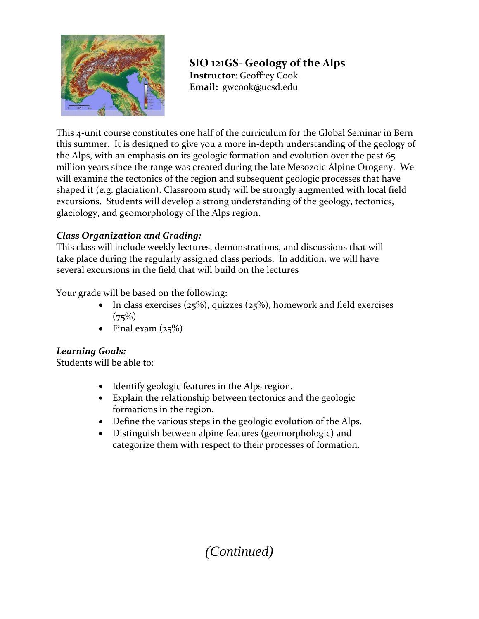

### **SIO 121GS‐ Geology of the Alps Instructor**: Geoffrey Cook  **Email:** gwcook@ucsd.edu

This 4‐unit course constitutes one half of the curriculum for the Global Seminar in Bern this summer. It is designed to give you a more in‐depth understanding of the geology of the Alps, with an emphasis on its geologic formation and evolution over the past 65 million years since the range was created during the late Mesozoic Alpine Orogeny. We will examine the tectonics of the region and subsequent geologic processes that have shaped it (e.g. glaciation). Classroom study will be strongly augmented with local field excursions. Students will develop a strong understanding of the geology, tectonics, glaciology, and geomorphology of the Alps region.

### *Class Organization and Grading:*

This class will include weekly lectures, demonstrations, and discussions that will take place during the regularly assigned class periods. In addition, we will have several excursions in the field that will build on the lectures

Your grade will be based on the following:

- In class exercises ( $25\%$ ), quizzes ( $25\%$ ), homework and field exercises  $(75%)$
- Final exam  $(25\%)$

### *Learning Goals:*

Students will be able to:

- Identify geologic features in the Alps region.
- Explain the relationship between tectonics and the geologic formations in the region.
- Define the various steps in the geologic evolution of the Alps.
- Distinguish between alpine features (geomorphologic) and categorize them with respect to their processes of formation.

# *(Continued)*